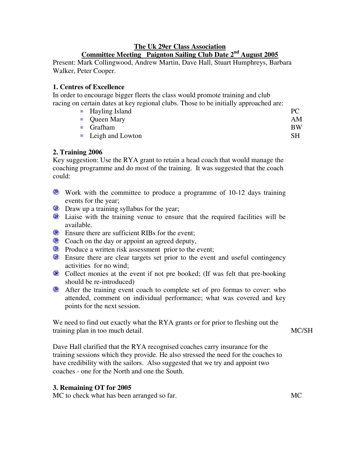## **The Uk 29er Class Association Committee Meeting Paignton Sailing Club Date 2 nd August 2005**

Present: Mark Collingwood, Andrew Martin, Dave Hall, Stuart Humphreys, Barbara Walker, Peter Cooper.

# **1. Centres of Excellence**

In order to encourage bigger fleets the class would promote training and club racing on certain dates at key regional clubs. Those to be initially approached are:

| ■ Hayling Island       | PC  |
|------------------------|-----|
| • Queen Mary           | AM  |
| $\blacksquare$ Grafham | BW. |
| • Leigh and Lowton     | SН  |

# **2. Training 2006**

Key suggestion: Use the RYA grant to retain a head coach that would manage the coaching programme and do most of the training. It was suggested that the coach could:

- Work with the committee to produce a programme of 10-12 days training events for the year;
- **E** Draw up a training syllabus for the year;
- **E** Liaise with the training venue to ensure that the required facilities will be available.
- **Ensure there are sufficient RIBs for the event;**
- **Coach on the day or appoint an agreed deputy,**
- **Produce a written risk assessment prior to the event;**
- **E** Ensure there are clear targets set prior to the event and useful contingency activities for no wind;
- Collect monies at the event if not pre booked; (If was felt that pre-booking should be re-introduced)
- **••** After the training event coach to complete set of pro formas to cover: who attended, comment on individual performance; what was covered and key points for the next session.

We need to find out exactly what the RYA grants or for prior to fleshing out the training plan in too much detail.

Dave Hall clarified that the RYA recognised coaches carry insurance for the training sessions which they provide. He also stressed the need for the coaches to have credibility with the sailors. Also suggested that we try and appoint two coaches - one for the North and one the South.

### **3. Remaining OT for 2005**

MC to check what has been arranged so far. MC